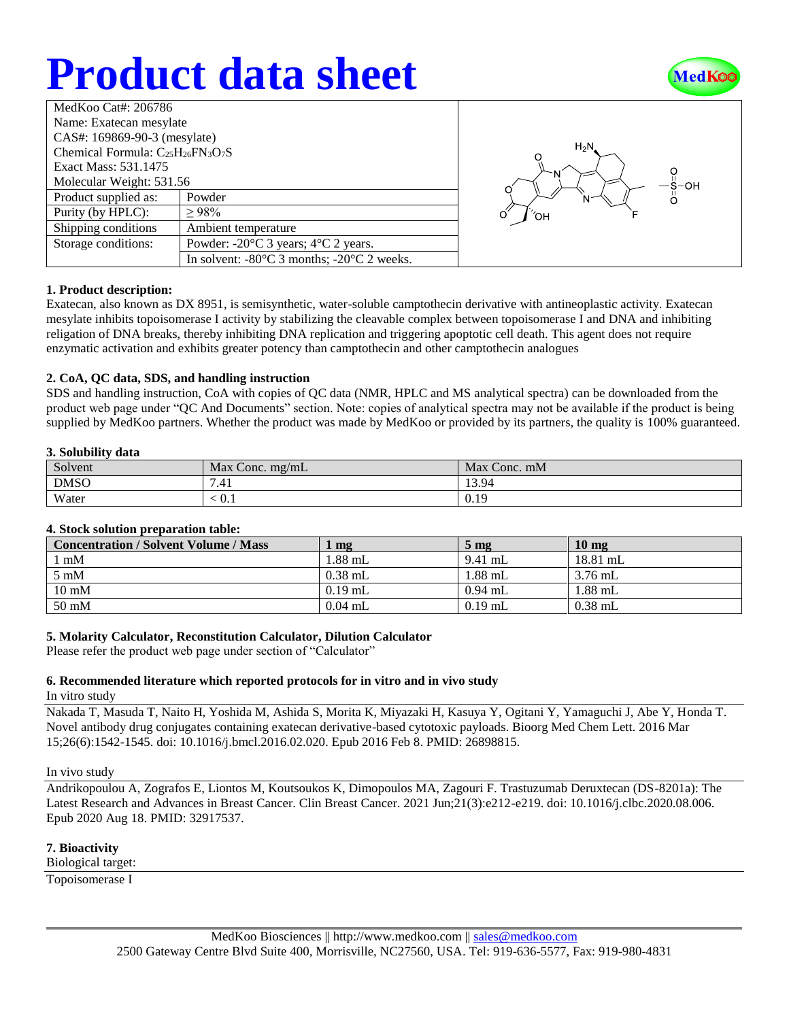# **Product data sheet**



| MedKoo Cat#: 206786                          |                                                                |  |  |  |
|----------------------------------------------|----------------------------------------------------------------|--|--|--|
| Name: Exatecan mesylate                      |                                                                |  |  |  |
| CAS#: 169869-90-3 (mesylate)                 |                                                                |  |  |  |
| Chemical Formula: $C_{25}H_{26}FN_{3}O_{7}S$ |                                                                |  |  |  |
| Exact Mass: 531.1475                         |                                                                |  |  |  |
| Molecular Weight: 531.56                     |                                                                |  |  |  |
| Product supplied as:                         | Powder                                                         |  |  |  |
| Purity (by HPLC):                            | >98%                                                           |  |  |  |
| Shipping conditions                          | Ambient temperature                                            |  |  |  |
| Storage conditions:                          | Powder: $-20^{\circ}$ C 3 years; $4^{\circ}$ C 2 years.        |  |  |  |
|                                              | In solvent: $-80^{\circ}$ C 3 months; $-20^{\circ}$ C 2 weeks. |  |  |  |



# **1. Product description:**

Exatecan, also known as DX 8951, is semisynthetic, water-soluble camptothecin derivative with antineoplastic activity. Exatecan mesylate inhibits topoisomerase I activity by stabilizing the cleavable complex between topoisomerase I and DNA and inhibiting religation of DNA breaks, thereby inhibiting DNA replication and triggering apoptotic cell death. This agent does not require enzymatic activation and exhibits greater potency than camptothecin and other camptothecin analogues

### **2. CoA, QC data, SDS, and handling instruction**

SDS and handling instruction, CoA with copies of QC data (NMR, HPLC and MS analytical spectra) can be downloaded from the product web page under "QC And Documents" section. Note: copies of analytical spectra may not be available if the product is being supplied by MedKoo partners. Whether the product was made by MedKoo or provided by its partners, the quality is 100% guaranteed.

## **3. Solubility data**

| Solvent     | Max<br>$\sqrt{2}$ Conc. mg/mL | Max Conc. mM |
|-------------|-------------------------------|--------------|
| <b>DMSO</b> | $7.1^{\circ}$<br>.41          | 13.94        |
| Water       | $\leq 0.1$                    | 0.19         |

# **4. Stock solution preparation table:**

| <b>Concentration / Solvent Volume / Mass</b> | $\mathbf{mg}$ | $5 \text{ mg}$ | $10 \text{ mg}$ |
|----------------------------------------------|---------------|----------------|-----------------|
| $1 \text{ mM}$                               | $1.88$ mL     | $9.41$ mL      | $18.81$ mL      |
| $5 \text{ mM}$                               | $0.38$ mL     | $1.88$ mL      | $3.76$ mL       |
| $10 \text{ mM}$                              | $0.19$ mL     | $0.94$ mL      | $1.88$ mL       |
| 50 mM                                        | $0.04$ mL     | $0.19$ mL      | $0.38$ mL       |

# **5. Molarity Calculator, Reconstitution Calculator, Dilution Calculator**

Please refer the product web page under section of "Calculator"

# **6. Recommended literature which reported protocols for in vitro and in vivo study**

In vitro study

Nakada T, Masuda T, Naito H, Yoshida M, Ashida S, Morita K, Miyazaki H, Kasuya Y, Ogitani Y, Yamaguchi J, Abe Y, Honda T. Novel antibody drug conjugates containing exatecan derivative-based cytotoxic payloads. Bioorg Med Chem Lett. 2016 Mar 15;26(6):1542-1545. doi: 10.1016/j.bmcl.2016.02.020. Epub 2016 Feb 8. PMID: 26898815.

### In vivo study

Andrikopoulou A, Zografos E, Liontos M, Koutsoukos K, Dimopoulos MA, Zagouri F. Trastuzumab Deruxtecan (DS-8201a): The Latest Research and Advances in Breast Cancer. Clin Breast Cancer. 2021 Jun;21(3):e212-e219. doi: 10.1016/j.clbc.2020.08.006. Epub 2020 Aug 18. PMID: 32917537.

### **7. Bioactivity**

Biological target:

Topoisomerase I